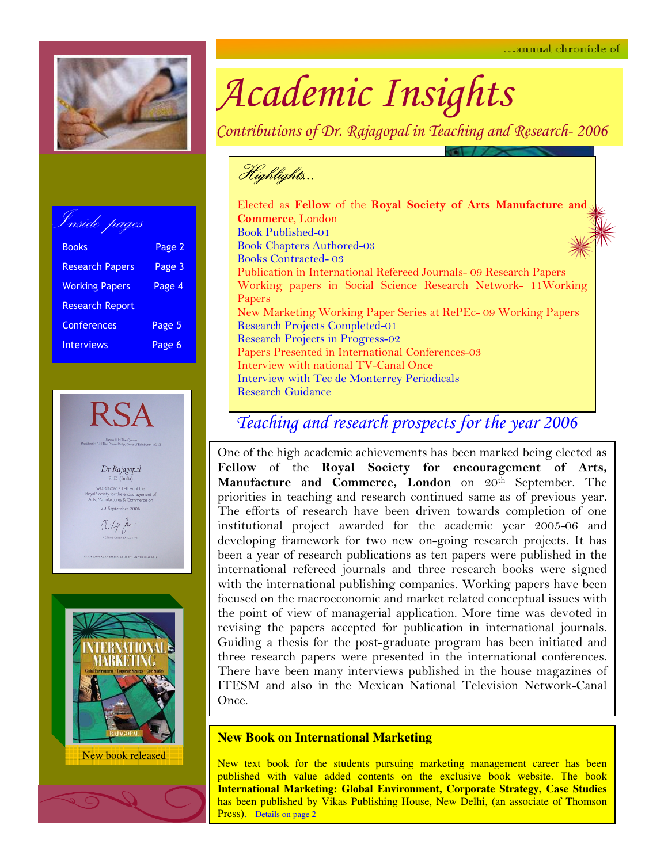

Inside pages Books **Page 2** Research Papers Page 3 Working Papers Page 4 Research Report Conferences Page 5 Interviews Page 6





# Academic Insights

Contributions of Dr. Rajagopal in Teaching and Research- 2006

Highlights… Highlights…

Elected as Fellow of the Royal Society of Arts Manufacture and Commerce, London Book Published-01 Book Chapters Authored-03 Books Contracted- 03 Publication in International Refereed Journals- 09 Research Papers Working papers in Social Science Research Network- 11Working Papers New Marketing Working Paper Series at RePEc- 09 Working Papers Research Projects Completed-01 Research Projects in Progress-02 Papers Presented in International Conferences-03 Interview with national TV-Canal Once Interview with Tec de Monterrey Periodicals Research Guidance

### Teaching and research prospects for the year 2006

One of the high academic achievements has been marked being elected as Fellow of the Royal Society for encouragement of Arts, Manufacture and Commerce, London on 20<sup>th</sup> September. The priorities in teaching and research continued same as of previous year. The efforts of research have been driven towards completion of one institutional project awarded for the academic year 2005-06 and developing framework for two new on-going research projects. It has been a year of research publications as ten papers were published in the international refereed journals and three research books were signed with the international publishing companies. Working papers have been focused on the macroeconomic and market related conceptual issues with the point of view of managerial application. More time was devoted in revising the papers accepted for publication in international journals. Guiding a thesis for the post-graduate program has been initiated and three research papers were presented in the international conferences. There have been many interviews published in the house magazines of ITESM and also in the Mexican National Television Network-Canal Once.

#### **New Book on International Marketing**

New text book for the students pursuing marketing management career has been published with value added contents on the exclusive book website. The book **International Marketing: Global Environment, Corporate Strategy, Case Studies** has been published by Vikas Publishing House, New Delhi, (an associate of Thomson Press). Details on page 2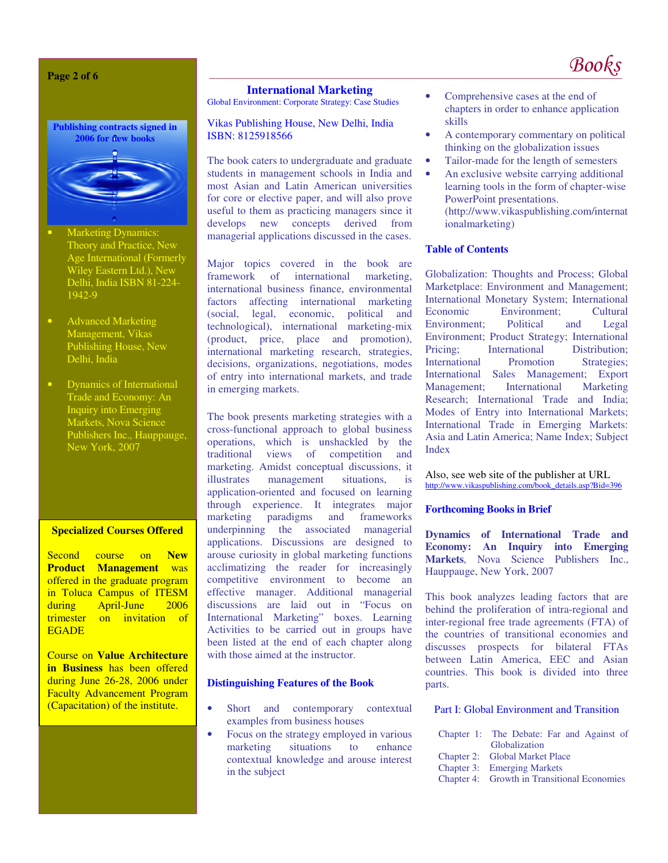**Page 2 of 6** 



- **Marketing Dynamics:** Theory and Practice, New Age International (Formerly Wiley Eastern Ltd.), New Delhi, India ISBN 81-224- 1942-9
- Advanced Marketing Management, Vikas Publishing House, New Delhi, India
- Dynamics of International Trade and Economy: An Inquiry into Emerging Markets, Nova Science Publishers Inc., Hauppauge, New York, 2007

#### **Specialized Courses Offered**

Second course on **New Product Management** was offered in the graduate program in Toluca Campus of ITESM<br>during April-June 2006 April-June trimester on invitation of **EGADE** 

Course on **Value Architecture in Business** has been offered during June 26-28, 2006 under Faculty Advancement Program (Capacitation) of the institute.

#### **International Marketing**

Global Environment: Corporate Strategy: Case Studies

#### Vikas Publishing House, New Delhi, India ISBN: 8125918566

The book caters to undergraduate and graduate students in management schools in India and most Asian and Latin American universities for core or elective paper, and will also prove useful to them as practicing managers since it develops new concepts derived from managerial applications discussed in the cases.

Major topics covered in the book are<br>framework of international marketing. of international marketing, international business finance, environmental factors affecting international marketing (social, legal, economic, political and technological), international marketing-mix (product, price, place and promotion), international marketing research, strategies, decisions, organizations, negotiations, modes of entry into international markets, and trade in emerging markets.

The book presents marketing strategies with a cross-functional approach to global business operations, which is unshackled by the traditional views of competition and views of competition and marketing. Amidst conceptual discussions, it illustrates management situations, is application-oriented and focused on learning through experience. It integrates major marketing paradigms and frameworks underpinning the associated managerial applications. Discussions are designed to arouse curiosity in global marketing functions acclimatizing the reader for increasingly competitive environment to become an effective manager. Additional managerial discussions are laid out in "Focus on International Marketing" boxes. Learning Activities to be carried out in groups have been listed at the end of each chapter along with those aimed at the instructor.

#### **Distinguishing Features of the Book**

- Short and contemporary contextual examples from business houses
- Focus on the strategy employed in various marketing situations to enhance contextual knowledge and arouse interest in the subject
- Comprehensive cases at the end of chapters in order to enhance application skills
- A contemporary commentary on political thinking on the globalization issues
- Tailor-made for the length of semesters
- An exclusive website carrying additional learning tools in the form of chapter-wise PowerPoint presentations. (http://www.vikaspublishing.com/internat ionalmarketing)

#### **Table of Contents**

Globalization: Thoughts and Process; Global Marketplace: Environment and Management; International Monetary System; International Economic Environment; Cultural Environment; Political and Legal Environment; Product Strategy; International Pricing: International Distribution: International Promotion Strategies; International Sales Management; Export Management; International Marketing Research; International Trade and India; Modes of Entry into International Markets; International Trade in Emerging Markets: Asia and Latin America; Name Index; Subject Index

Also, see web site of the publisher at URL http://www.vikaspublishing.com/book\_details.asp?Bid=396

#### **Forthcoming Books in Brief**

**Dynamics of International Trade and Economy: An Inquiry into Emerging Markets**, Nova Science Publishers Inc., Hauppauge, New York, 2007

This book analyzes leading factors that are behind the proliferation of intra-regional and inter-regional free trade agreements (FTA) of the countries of transitional economies and discusses prospects for bilateral FTAs between Latin America, EEC and Asian countries. This book is divided into three parts.

#### Part I: Global Environment and Transition

| Chapter 1: The Debate: Far and Against of   |  |  |  |
|---------------------------------------------|--|--|--|
| Globalization                               |  |  |  |
| Chapter 2: Global Market Place              |  |  |  |
| <b>Chapter 3:</b> Emerging Markets          |  |  |  |
| Chapter 4: Growth in Transitional Economies |  |  |  |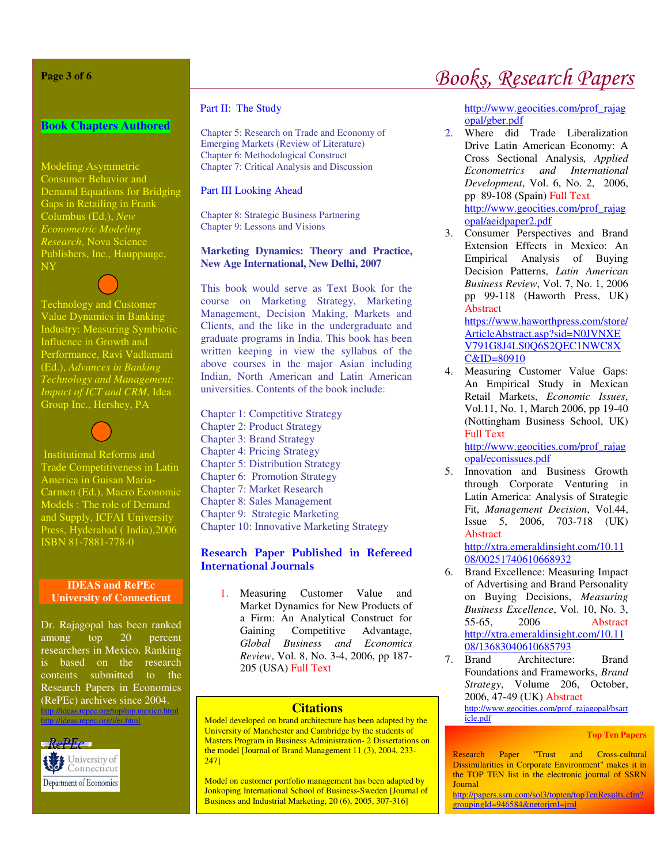#### **Page 3 of 6**

#### **Book Chapters Authored**

Modeling Asymmetric Consumer Behavior and Demand Equations for Bridging Gaps in Retailing in Frank Columbus (Ed.), *New Econometric Modeling Research*, Nova Science Publishers, Inc., Hauppauge, NY

Technology and Customer Value Dynamics in Banking Industry: Measuring Symbiotic Influence in Growth and Performance, Ravi Vadlamani (Ed.), *Advances in Banking Technology and Management: Impact of ICT and CRM*, Idea Group Inc., Hershey, PA

Institutional Reforms and Trade Competitiveness in Latin America in Guisan Maria-Carmen (Ed.), Macro Economic Models : The role of Demand and Supply, ICFAI University Press, Hyderabad ( India),2006 ISBN 81-7881-778-0

#### **IDEAS and RePEc University of Connecticut**

Dr. Rajagopal has been ranked among top 20 percent researchers in Mexico. Ranking is based on the research contents submitted to the Research Papers in Economics (RePEc) archives since 2004. http://ideas.repec.org/top/top.mexico.html

 $RePEC$ University of Connecticut Department of Economics

http://ideas.repec.org/i/er.html

#### Part II: The Study

Chapter 5: Research on Trade and Economy of Emerging Markets (Review of Literature) Chapter 6: Methodological Construct Chapter 7: Critical Analysis and Discussion

#### Part III Looking Ahead

Chapter 8: Strategic Business Partnering Chapter 9: Lessons and Visions

#### **Marketing Dynamics: Theory and Practice, New Age International, New Delhi, 2007**

This book would serve as Text Book for the course on Marketing Strategy, Marketing Management, Decision Making, Markets and Clients, and the like in the undergraduate and graduate programs in India. This book has been written keeping in view the syllabus of the above courses in the major Asian including Indian, North American and Latin American universities. Contents of the book include:

Chapter 1: Competitive Strategy Chapter 2: Product Strategy Chapter 3: Brand Strategy Chapter 4: Pricing Strategy Chapter 5: Distribution Strategy Chapter 6: Promotion Strategy Chapter 7: Market Research Chapter 8: Sales Management Chapter 9: Strategic Marketing Chapter 10: Innovative Marketing Strategy

#### Research Paper Published in Refereed International Journals

1. Measuring Customer Value and Market Dynamics for New Products of a Firm: An Analytical Construct for Gaining Competitive Advantage, *Global Business and Economics Review*, Vol. 8, No. 3-4, 2006, pp 187- 205 (USA) Full Text

#### **Citations**

Model developed on brand architecture has been adapted by the University of Manchester and Cambridge by the students of Masters Program in Business Administration- 2 Dissertations on the model [Journal of Brand Management 11 (3), 2004, 233- 247]

Model on customer portfolio management has been adapted by Jonkoping International School of Business-Sweden [Journal of Business and Industrial Marketing, 20 (6), 2005, 307-316]

## Books, Research Papers

http://www.geocities.com/prof\_rajag opal/gber.pdf

- 2. Where did Trade Liberalization Drive Latin American Economy: A Cross Sectional Analysis*, Applied Econometrics and International Development*, Vol. 6, No. 2, 2006, pp 89-108 (Spain) Full Text http://www.geocities.com/prof\_rajag opal/aeidpaper2.pdf
- 3. Consumer Perspectives and Brand Extension Effects in Mexico: An Empirical Analysis of Buying Decision Patterns, *Latin American Business Review*, Vol. 7, No. 1, 2006 pp 99-118 (Haworth Press, UK) Abstract

https://www.haworthpress.com/store/ ArticleAbstract.asp?sid=N0JVNXE V791G8J4LS0Q6S2QEC1NWC8X C&ID=80910

4. Measuring Customer Value Gaps: An Empirical Study in Mexican Retail Markets, *Economic Issues*, Vol.11, No. 1, March 2006, pp 19-40 (Nottingham Business School, UK) Full Text http://www.geocities.com/prof\_rajag

opal/econissues.pdf

5. Innovation and Business Growth through Corporate Venturing in Latin America: Analysis of Strategic Fit, *Management Decision*, Vol.44, Issue 5, 2006, 703-718 (UK) Abstract

http://xtra.emeraldinsight.com/10.11 08/00251740610668932

- 6. Brand Excellence: Measuring Impact of Advertising and Brand Personality on Buying Decisions, *Measuring Business Excellence*, Vol. 10, No. 3, 55-65, 2006 Abstract http://xtra.emeraldinsight.com/10.11 08/13683040610685793
- 7. Brand Architecture: Brand Foundations and Frameworks, *Brand Strategy*, Volume 206, October, 2006, 47-49 (UK) Abstract http://www.geocities.com/prof\_rajagopal/bsart icle.pdf

#### **Top Ten Papers**

Research Paper "Trust and Cross-cultural Dissimilarities in Corporate Environment" makes it in the TOP TEN list in the electronic journal of SSRN **Journal** 

http://papers.ssrn.com/sol3/topten/topTenResults.cfm? groupingId=946584&netorjrnl=jrnl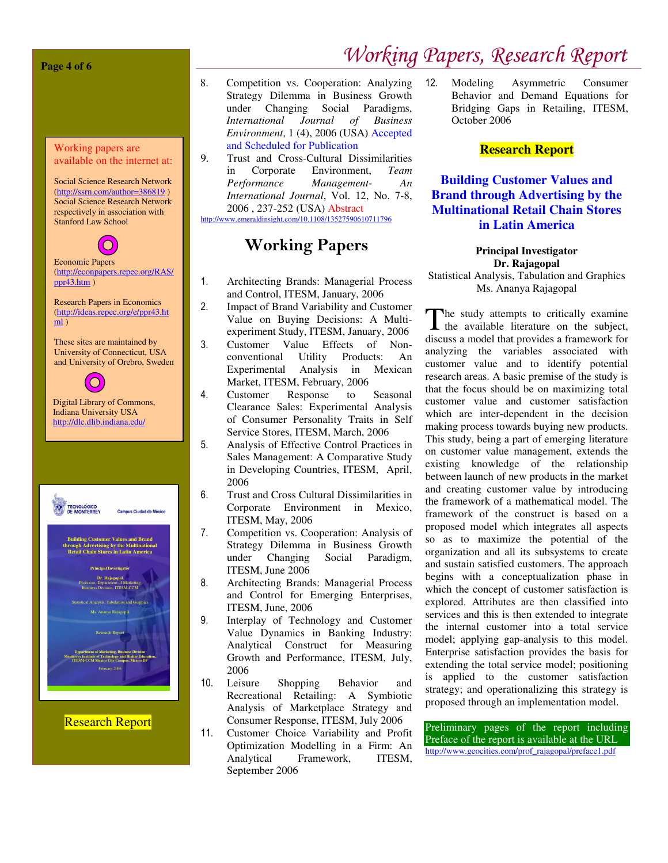#### **Page 4 of 6**

#### Working papers are available on the internet at:

Social Science Research Network (http://ssrn.com/author=386819 ) Social Science Research Network respectively in association with Stanford Law School



Economic Papers (http://econpapers.repec.org/RAS/ ppr43.htm )

Research Papers in Economics (http://ideas.repec.org/e/ppr43.ht  $m$ )

These sites are maintained by University of Connecticut, USA and University of Orebro, Sweden



Digital Library of Commons, Indiana University USA http://dlc.dlib.indiana.edu/



Research Report

- 8. Competition vs. Cooperation: Analyzing Strategy Dilemma in Business Growth under Changing Social Paradigms, *International Journal of Business Environment*, 1 (4), 2006 (USA) Accepted and Scheduled for Publication
- 9. Trust and Cross-Cultural Dissimilarities in Corporate Environment, *Team Performance Management- An International Journal*, Vol. 12, No. 7-8, 2006 , 237-252 (USA) Abstract http://www.emeraldinsight.com/10.1108/13527590610711796

### Working Papers

- 1. Architecting Brands: Managerial Process and Control, ITESM, January, 2006
- 2. Impact of Brand Variability and Customer Value on Buying Decisions: A Multiexperiment Study, ITESM, January, 2006
- 3. Customer Value Effects of Nonconventional Utility Products: An Experimental Analysis in Mexican Market, ITESM, February, 2006
- 4. Customer Response to Seasonal Clearance Sales: Experimental Analysis of Consumer Personality Traits in Self Service Stores, ITESM, March, 2006
- 5. Analysis of Effective Control Practices in Sales Management: A Comparative Study in Developing Countries, ITESM, April, 2006
- 6. Trust and Cross Cultural Dissimilarities in Corporate Environment in Mexico, ITESM, May, 2006
- 7. Competition vs. Cooperation: Analysis of Strategy Dilemma in Business Growth under Changing Social Paradigm, ITESM, June 2006
- 8. Architecting Brands: Managerial Process and Control for Emerging Enterprises, ITESM, June, 2006
- 9. Interplay of Technology and Customer Value Dynamics in Banking Industry: Analytical Construct for Measuring Growth and Performance, ITESM, July, 2006
- 10. Leisure Shopping Behavior and Recreational Retailing: A Symbiotic Analysis of Marketplace Strategy and Consumer Response, ITESM, July 2006
- 11. Customer Choice Variability and Profit Optimization Modelling in a Firm: An Analytical Framework, ITESM, September 2006

12. Modeling Asymmetric Consumer Behavior and Demand Equations for Bridging Gaps in Retailing, ITESM, October 2006

#### **Research Report**

#### **Building Customer Values and Brand through Advertising by the Multinational Retail Chain Stores in Latin America**

**Principal Investigator Dr. Rajagopal** 

Statistical Analysis, Tabulation and Graphics Ms. Ananya Rajagopal

he study attempts to critically examine The study attempts to critically examine<br>the available literature on the subject, discuss a model that provides a framework for analyzing the variables associated with customer value and to identify potential research areas. A basic premise of the study is that the focus should be on maximizing total customer value and customer satisfaction which are inter-dependent in the decision making process towards buying new products. This study, being a part of emerging literature on customer value management, extends the existing knowledge of the relationship between launch of new products in the market and creating customer value by introducing the framework of a mathematical model. The framework of the construct is based on a proposed model which integrates all aspects so as to maximize the potential of the organization and all its subsystems to create and sustain satisfied customers. The approach begins with a conceptualization phase in which the concept of customer satisfaction is explored. Attributes are then classified into services and this is then extended to integrate the internal customer into a total service model; applying gap-analysis to this model. Enterprise satisfaction provides the basis for extending the total service model; positioning is applied to the customer satisfaction strategy; and operationalizing this strategy is proposed through an implementation model.

Preliminary pages of the report including Preface of the report is available at the URL http://www.geocities.com/prof\_rajagopal/preface1.pdf

# Working Papers, Research Report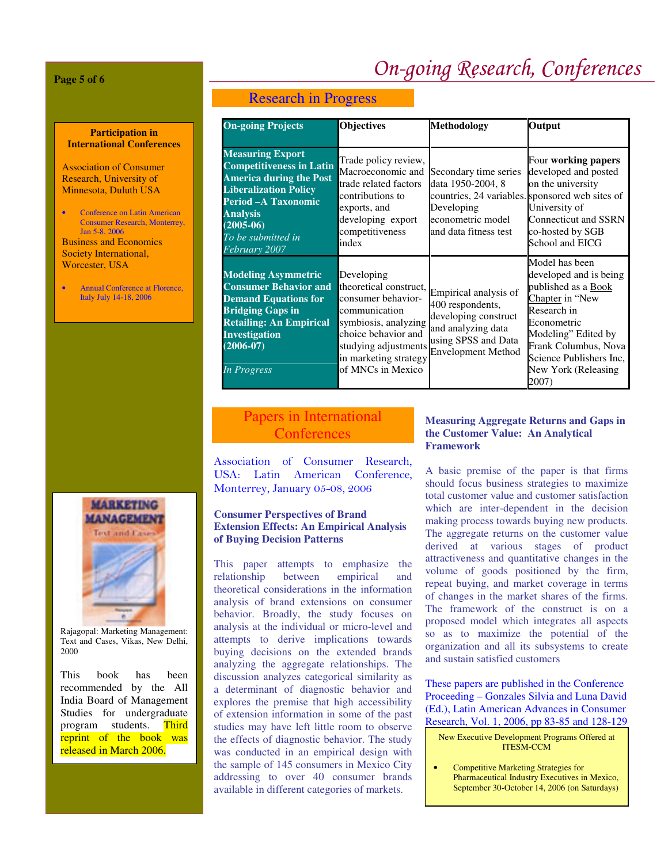# On-going Research, Conferences

**Page 5 of 6** 

**Participation in International Conferences** 

Association of Consumer Research, University of Minnesota, Duluth USA

• Conference on Latin American Consumer Research, Monterrey, Jan 5-8, 2006 Business and Economics Society International, Worcester, USA

Annual Conference at Florence, Italy July 14-18, 2006



Rajagopal: Marketing Management: Text and Cases, Vikas, New Delhi, 2000

This book has been recommended by the All India Board of Management Studies for undergraduate program students. Third reprint of the book was released in March 2006.

#### Research in Progress

| <b>On-going Projects</b>                                                                                                                                                                                                      | <b>Objectives</b>                                                                                                                                                                                | Methodology                                                                                                                                               | Output                                                                                                                                                                                                                            |
|-------------------------------------------------------------------------------------------------------------------------------------------------------------------------------------------------------------------------------|--------------------------------------------------------------------------------------------------------------------------------------------------------------------------------------------------|-----------------------------------------------------------------------------------------------------------------------------------------------------------|-----------------------------------------------------------------------------------------------------------------------------------------------------------------------------------------------------------------------------------|
| <b>Measuring Export</b><br><b>Competitiveness in Latin</b><br><b>America during the Post</b><br><b>Liberalization Policy</b><br>Period - A Taxonomic<br><b>Analysis</b><br>$(2005-06)$<br>To be submitted in<br>February 2007 | Trade policy review,<br>Macroeconomic and<br>trade related factors<br>contributions to<br>exports, and<br>developing export<br>competitiveness<br>index                                          | Secondary time series<br>data 1950-2004, 8<br>countries, 24 variables. sponsored web sites of<br>Developing<br>econometric model<br>and data fitness test | Four working papers<br>developed and posted<br>on the university<br>University of<br>Connecticut and SSRN<br>co-hosted by SGB<br>School and EICG                                                                                  |
| <b>Modeling Asymmetric</b><br><b>Consumer Behavior and</b><br><b>Demand Equations for</b><br><b>Bridging Gaps in</b><br><b>Retailing: An Empirical</b><br><b>Investigation</b><br>$(2006 - 07)$<br>In Progress                | Developing<br>theoretical construct,<br>consumer behavior-<br>communication<br>symbiosis, analyzing<br>choice behavior and<br>studying adjustments<br>in marketing strategy<br>of MNCs in Mexico | Empirical analysis of<br>400 respondents,<br>developing construct<br>and analyzing data<br>using SPSS and Data<br><b>Envelopment Method</b>               | Model has been<br>developed and is being<br>published as a <b>Book</b><br>Chapter in "New<br>Research in<br>Econometric<br>Modeling" Edited by<br>Frank Columbus, Nova<br>Science Publishers Inc.<br>New York (Releasing<br>2007) |

#### Papers in International Conferences

Association of Consumer Research, USA: Latin American Conference, Monterrey, January 05-08, 2006

#### **Consumer Perspectives of Brand Extension Effects: An Empirical Analysis of Buying Decision Patterns**

This paper attempts to emphasize the relationship between empirical and theoretical considerations in the information analysis of brand extensions on consumer behavior. Broadly, the study focuses on analysis at the individual or micro-level and attempts to derive implications towards buying decisions on the extended brands analyzing the aggregate relationships. The discussion analyzes categorical similarity as a determinant of diagnostic behavior and explores the premise that high accessibility of extension information in some of the past studies may have left little room to observe the effects of diagnostic behavior. The study was conducted in an empirical design with the sample of 145 consumers in Mexico City addressing to over 40 consumer brands available in different categories of markets.

#### **Measuring Aggregate Returns and Gaps in the Customer Value: An Analytical Framework**

A basic premise of the paper is that firms should focus business strategies to maximize total customer value and customer satisfaction which are inter-dependent in the decision making process towards buying new products. The aggregate returns on the customer value derived at various stages of product attractiveness and quantitative changes in the volume of goods positioned by the firm, repeat buying, and market coverage in terms of changes in the market shares of the firms. The framework of the construct is on a proposed model which integrates all aspects so as to maximize the potential of the organization and all its subsystems to create and sustain satisfied customers

These papers are published in the Conference Proceeding – Gonzales Silvia and Luna David (Ed.), Latin American Advances in Consumer Research, Vol. 1, 2006, pp 83-85 and 128-129

#### New Executive Development Programs Offered at ITESM-CCM

• Competitive Marketing Strategies for Pharmaceutical Industry Executives in Mexico, September 30-October 14, 2006 (on Saturdays)